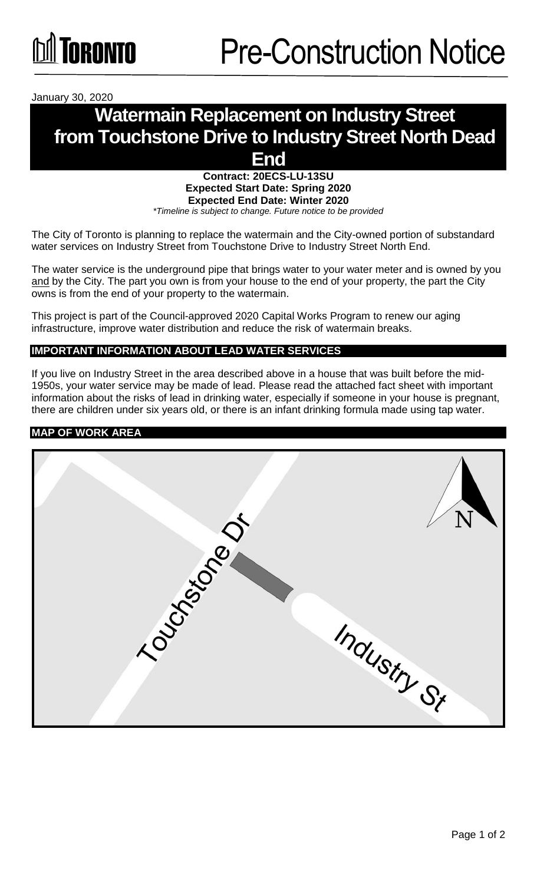

January 30, 2020

# **Watermain Replacement on Industry Street from Touchstone Drive to Industry Street North Dead End**

# **Contract: 20ECS-LU-13SU Expected Start Date: Spring 2020 Expected End Date: Winter 2020**

*\*Timeline is subject to change. Future notice to be provided*

The City of Toronto is planning to replace the watermain and the City-owned portion of substandard water services on Industry Street from Touchstone Drive to Industry Street North End.

The water service is the underground pipe that brings water to your water meter and is owned by you and by the City. The part you own is from your house to the end of your property, the part the City owns is from the end of your property to the watermain.

This project is part of the Council-approved 2020 Capital Works Program to renew our aging infrastructure, improve water distribution and reduce the risk of watermain breaks.

### **IMPORTANT INFORMATION ABOUT LEAD WATER SERVICES**

If you live on Industry Street in the area described above in a house that was built before the mid-1950s, your water service may be made of lead. Please read the attached fact sheet with important information about the risks of lead in drinking water, especially if someone in your house is pregnant, there are children under six years old, or there is an infant drinking formula made using tap water.

#### **MAP OF WORK AREA**

|                | N           |
|----------------|-------------|
| TOUGHS 1970 OF | Industry St |